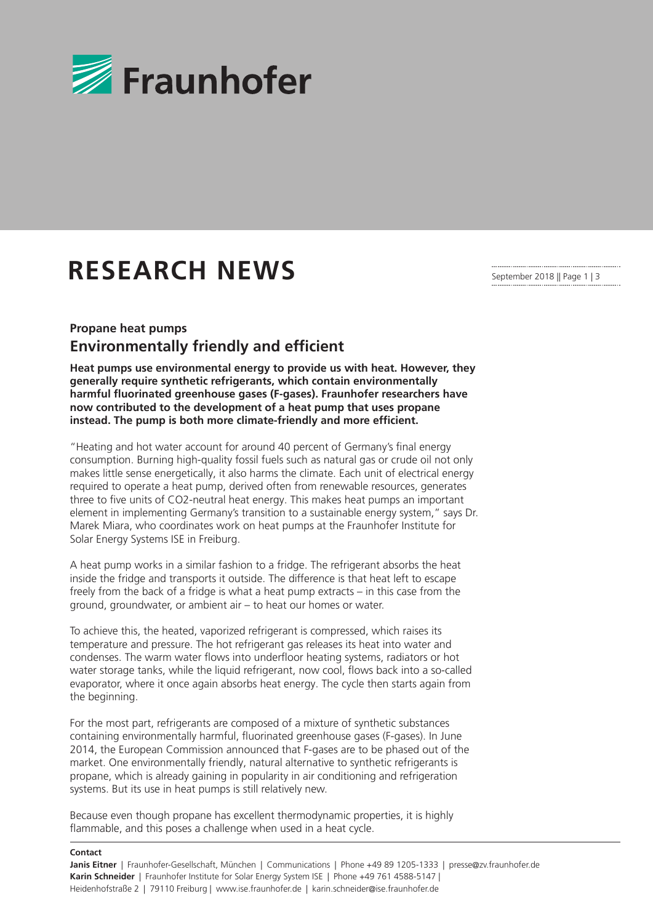

## **RESEARCH NEWS**

September 2018 || Page 1 | 3

## **Propane heat pumps Environmentally friendly and efficient**

**Heat pumps use environmental energy to provide us with heat. However, they generally require synthetic refrigerants, which contain environmentally harmful fluorinated greenhouse gases (F-gases). Fraunhofer researchers have now contributed to the development of a heat pump that uses propane instead. The pump is both more climate-friendly and more efficient.**

"Heating and hot water account for around 40 percent of Germany's final energy consumption. Burning high-quality fossil fuels such as natural gas or crude oil not only makes little sense energetically, it also harms the climate. Each unit of electrical energy required to operate a heat pump, derived often from renewable resources, generates three to five units of CO2-neutral heat energy. This makes heat pumps an important element in implementing Germany's transition to a sustainable energy system," says Dr. Marek Miara, who coordinates work on heat pumps at the Fraunhofer Institute for Solar Energy Systems ISE in Freiburg.

A heat pump works in a similar fashion to a fridge. The refrigerant absorbs the heat inside the fridge and transports it outside. The difference is that heat left to escape freely from the back of a fridge is what a heat pump extracts – in this case from the ground, groundwater, or ambient air – to heat our homes or water.

To achieve this, the heated, vaporized refrigerant is compressed, which raises its temperature and pressure. The hot refrigerant gas releases its heat into water and condenses. The warm water flows into underfloor heating systems, radiators or hot water storage tanks, while the liquid refrigerant, now cool, flows back into a so-called evaporator, where it once again absorbs heat energy. The cycle then starts again from the beginning.

For the most part, refrigerants are composed of a mixture of synthetic substances containing environmentally harmful, fluorinated greenhouse gases (F-gases). In June 2014, the European Commission announced that F-gases are to be phased out of the market. One environmentally friendly, natural alternative to synthetic refrigerants is propane, which is already gaining in popularity in air conditioning and refrigeration systems. But its use in heat pumps is still relatively new.

Because even though propane has excellent thermodynamic properties, it is highly flammable, and this poses a challenge when used in a heat cycle.

## **Contact**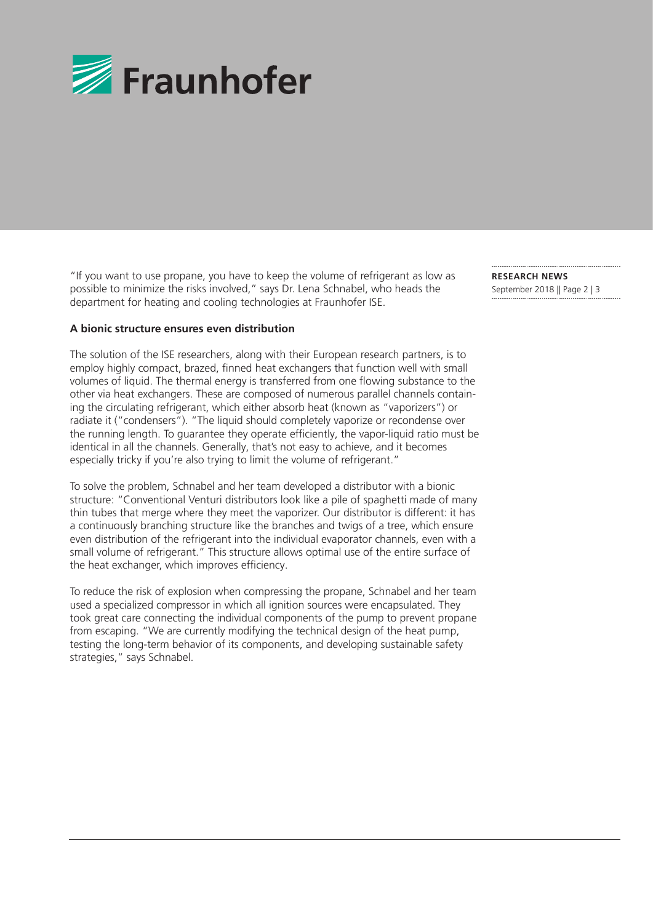

"If you want to use propane, you have to keep the volume of refrigerant as low as possible to minimize the risks involved," says Dr. Lena Schnabel, who heads the department for heating and cooling technologies at Fraunhofer ISE.

## **A bionic structure ensures even distribution**

The solution of the ISE researchers, along with their European research partners, is to employ highly compact, brazed, finned heat exchangers that function well with small volumes of liquid. The thermal energy is transferred from one flowing substance to the other via heat exchangers. These are composed of numerous parallel channels containing the circulating refrigerant, which either absorb heat (known as "vaporizers") or radiate it ("condensers"). "The liquid should completely vaporize or recondense over the running length. To guarantee they operate efficiently, the vapor-liquid ratio must be identical in all the channels. Generally, that's not easy to achieve, and it becomes especially tricky if you're also trying to limit the volume of refrigerant."

To solve the problem, Schnabel and her team developed a distributor with a bionic structure: "Conventional Venturi distributors look like a pile of spaghetti made of many thin tubes that merge where they meet the vaporizer. Our distributor is different: it has a continuously branching structure like the branches and twigs of a tree, which ensure even distribution of the refrigerant into the individual evaporator channels, even with a small volume of refrigerant." This structure allows optimal use of the entire surface of the heat exchanger, which improves efficiency.

To reduce the risk of explosion when compressing the propane, Schnabel and her team used a specialized compressor in which all ignition sources were encapsulated. They took great care connecting the individual components of the pump to prevent propane from escaping. "We are currently modifying the technical design of the heat pump, testing the long-term behavior of its components, and developing sustainable safety strategies," says Schnabel.

**RESEARCH NEWS**  September 2018 || Page 2 | 3